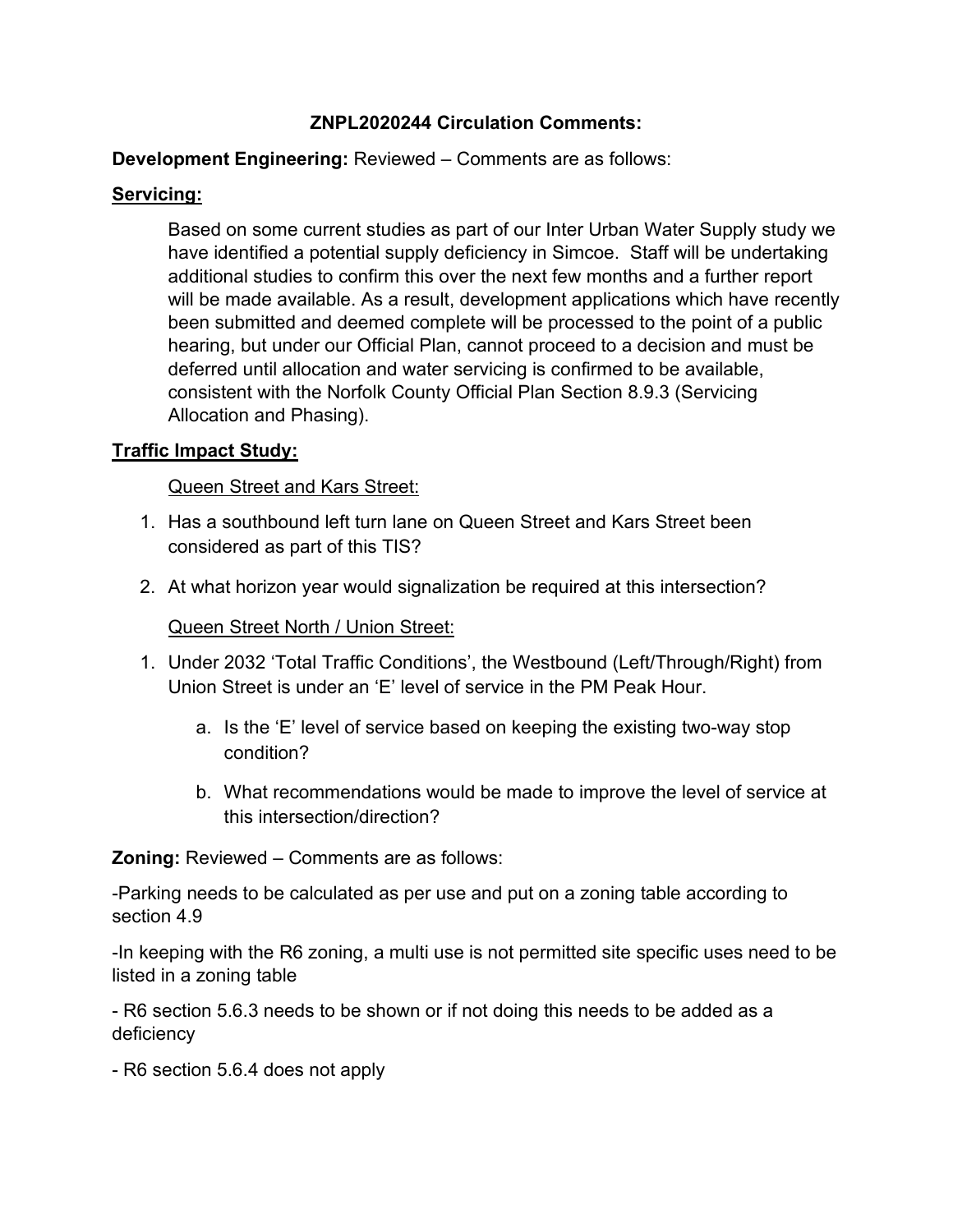# **ZNPL2020244 Circulation Comments:**

## **Development Engineering:** Reviewed – Comments are as follows:

# **Servicing:**

Based on some current studies as part of our Inter Urban Water Supply study we have identified a potential supply deficiency in Simcoe. Staff will be undertaking additional studies to confirm this over the next few months and a further report will be made available. As a result, development applications which have recently been submitted and deemed complete will be processed to the point of a public hearing, but under our Official Plan, cannot proceed to a decision and must be deferred until allocation and water servicing is confirmed to be available, consistent with the Norfolk County Official Plan Section 8.9.3 (Servicing Allocation and Phasing).

## **Traffic Impact Study:**

## Queen Street and Kars Street:

- 1. Has a southbound left turn lane on Queen Street and Kars Street been considered as part of this TIS?
- 2. At what horizon year would signalization be required at this intersection?

# Queen Street North / Union Street:

- 1. Under 2032 'Total Traffic Conditions', the Westbound (Left/Through/Right) from Union Street is under an 'E' level of service in the PM Peak Hour.
	- a. Is the 'E' level of service based on keeping the existing two-way stop condition?
	- b. What recommendations would be made to improve the level of service at this intersection/direction?

**Zoning:** Reviewed – Comments are as follows:

-Parking needs to be calculated as per use and put on a zoning table according to section 4.9

-In keeping with the R6 zoning, a multi use is not permitted site specific uses need to be listed in a zoning table

- R6 section 5.6.3 needs to be shown or if not doing this needs to be added as a deficiency

- R6 section 5.6.4 does not apply